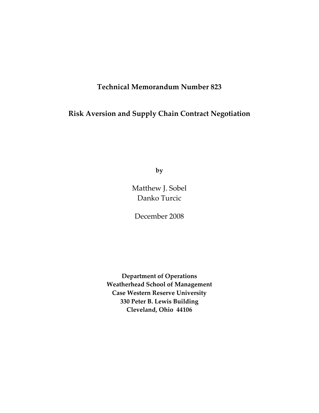# **Technical Memorandum Number 823**

# **Risk Aversion and Supply Chain Contract Negotiation**

**by**

Matthew J. Sobel Danko Turcic

December 2008

**Department of Operations Weatherhead School of Management Case Western Reserve University 330 Peter B. Lewis Building Cleveland, Ohio 44106**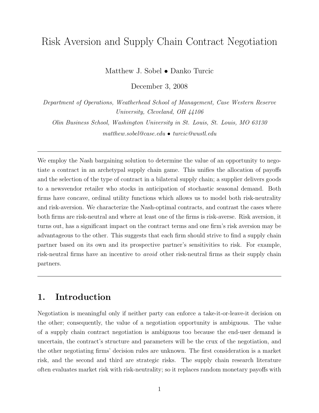# Risk Aversion and Supply Chain Contract Negotiation

Matthew J. Sobel • Danko Turcic

December 3, 2008

Department of Operations, Weatherhead School of Management, Case Western Reserve University, Cleveland, OH 44106

Olin Business School, Washington University in St. Louis, St. Louis, MO 63130 matthew.sobel@case.edu • turcic@wustl.edu

We employ the Nash bargaining solution to determine the value of an opportunity to negotiate a contract in an archetypal supply chain game. This unifies the allocation of payoffs and the selection of the type of contract in a bilateral supply chain; a supplier delivers goods to a newsvendor retailer who stocks in anticipation of stochastic seasonal demand. Both firms have concave, ordinal utility functions which allows us to model both risk-neutrality and risk-aversion. We characterize the Nash-optimal contracts, and contrast the cases where both firms are risk-neutral and where at least one of the firms is risk-averse. Risk aversion, it turns out, has a significant impact on the contract terms and one firm's risk aversion may be advantageous to the other. This suggests that each firm should strive to find a supply chain partner based on its own and its prospective partner's sensitivities to risk. For example, risk-neutral firms have an incentive to *avoid* other risk-neutral firms as their supply chain partners.

# 1. Introduction

Negotiation is meaningful only if neither party can enforce a take-it-or-leave-it decision on the other; consequently, the value of a negotiation opportunity is ambiguous. The value of a supply chain contract negotiation is ambiguous too because the end-user demand is uncertain, the contract's structure and parameters will be the crux of the negotiation, and the other negotiating firms' decision rules are unknown. The first consideration is a market risk, and the second and third are strategic risks. The supply chain research literature often evaluates market risk with risk-neutrality; so it replaces random monetary payoffs with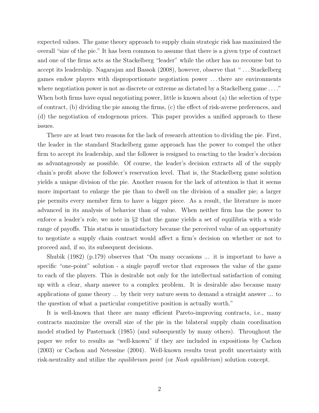expected values. The game theory approach to supply chain strategic risk has maximized the overall "size of the pie." It has been common to assume that there is a given type of contract and one of the firms acts as the Stackelberg "leader" while the other has no recourse but to accept its leadership. Nagarajan and Bassok (2008), however, observe that " . . . Stackelberg games endow players with disproportionate negotiation power . . . there are environments where negotiation power is not as discrete or extreme as dictated by a Stackelberg game . . . ." When both firms have equal negotiating power, little is known about (a) the selection of type of contract, (b) dividing the pie among the firms, (c) the effect of risk-averse preferences, and (d) the negotiation of endogenous prices. This paper provides a unified approach to these issues.

There are at least two reasons for the lack of research attention to dividing the pie. First, the leader in the standard Stackelberg game approach has the power to compel the other firm to accept its leadership, and the follower is resigned to reacting to the leader's decision as advantageously as possible. Of course, the leader's decision extracts all of the supply chain's profit above the follower's reservation level. That is, the Stackelberg game solution yields a unique division of the pie. Another reason for the lack of attention is that it seems more important to enlarge the pie than to dwell on the division of a smaller pie; a larger pie permits every member firm to have a bigger piece. As a result, the literature is more advanced in its analysis of behavior than of value. When neither firm has the power to enforce a leader's role, we note in §2 that the game yields a set of equilibria with a wide range of payoffs. This status is unsatisfactory because the perceived value of an opportunity to negotiate a supply chain contract would affect a firm's decision on whether or not to proceed and, if so, its subsequent decisions.

Shubik (1982) (p.179) observes that "On many occasions ... it is important to have a specific "one-point" solution - a single payoff vector that expresses the value of the game to each of the players. This is desirable not only for the intellectual satisfaction of coming up with a clear, sharp answer to a complex problem. It is desirable also because many applications of game theory ... by their very nature seem to demand a straight answer ... to the question of what a particular competitive position is actually worth."

It is well-known that there are many efficient Pareto-improving contracts, i.e., many contracts maximize the overall size of the pie in the bilateral supply chain coordination model studied by Pasternack (1985) (and subsequently by many others). Throughout the paper we refer to results as "well-known" if they are included in expositions by Cachon (2003) or Cachon and Netessine (2004). Well-known results treat profit uncertainty with risk-neutrality and utilize the equilibrium point (or Nash equilibrium) solution concept.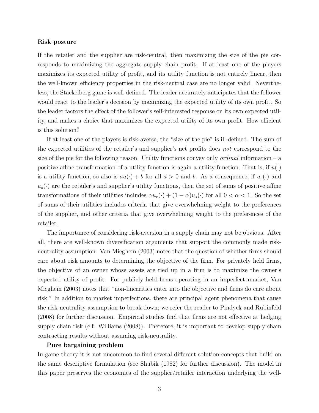#### Risk posture

If the retailer and the supplier are risk-neutral, then maximizing the size of the pie corresponds to maximizing the aggregate supply chain profit. If at least one of the players maximizes its expected utility of profit, and its utility function is not entirely linear, then the well-known efficiency properties in the risk-neutral case are no longer valid. Nevertheless, the Stackelberg game is well-defined. The leader accurately anticipates that the follower would react to the leader's decision by maximizing the expected utility of its own profit. So the leader factors the effect of the follower's self-interested response on its own expected utility, and makes a choice that maximizes the expected utility of its own profit. How efficient is this solution?

If at least one of the players is risk-averse, the "size of the pie" is ill-defined. The sum of the expected utilities of the retailer's and supplier's net profits does not correspond to the size of the pie for the following reason. Utility functions convey only *ordinal* information – a positive affine transformation of a utility function is again a utility function. That is, if  $u(\cdot)$ is a utility function, so also is  $au(\cdot) + b$  for all  $a > 0$  and b. As a consequence, if  $u_r(\cdot)$  and  $u_s(\cdot)$  are the retailer's and supplier's utility functions, then the set of sums of positive affine transformations of their utilities includes  $\alpha u_r(\cdot) + (1 - \alpha)u_s(\cdot)$  for all  $0 < \alpha < 1$ . So the set of sums of their utilities includes criteria that give overwhelming weight to the preferences of the supplier, and other criteria that give overwhelming weight to the preferences of the retailer.

The importance of considering risk-aversion in a supply chain may not be obvious. After all, there are well-known diversification arguments that support the commonly made riskneutrality assumption. Van Mieghem (2003) notes that the question of whether firms should care about risk amounts to determining the objective of the firm. For privately held firms, the objective of an owner whose assets are tied up in a firm is to maximize the owner's expected utility of profit. For publicly held firms operating in an imperfect market, Van Mieghem (2003) notes that "non-linearities enter into the objective and firms do care about risk." In addition to market imperfections, there are principal agent phenomena that cause the risk-neutrality assumption to break down; we refer the reader to Pindyck and Rubinfeld (2008) for further discussion. Empirical studies find that firms are not effective at hedging supply chain risk (c.f. Williams (2008)). Therefore, it is important to develop supply chain contracting results without assuming risk-neutrality.

#### Pure bargaining problem

In game theory it is not uncommon to find several different solution concepts that build on the same descriptive formulation (see Shubik (1982) for further discussion). The model in this paper preserves the economics of the supplier/retailer interaction underlying the well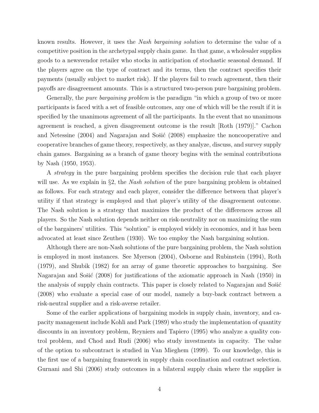known results. However, it uses the Nash bargaining solution to determine the value of a competitive position in the archetypal supply chain game. In that game, a wholesaler supplies goods to a newsvendor retailer who stocks in anticipation of stochastic seasonal demand. If the players agree on the type of contract and its terms, then the contract specifies their payments (usually subject to market risk). If the players fail to reach agreement, then their payoffs are disagreement amounts. This is a structured two-person pure bargaining problem.

Generally, the *pure bargaining problem* is the paradigm "in which a group of two or more participants is faced with a set of feasible outcomes, any one of which will be the result if it is specified by the unanimous agreement of all the participants. In the event that no unanimous agreement is reached, a given disagreement outcome is the result [Roth (1979)]." Cachon and Netessine  $(2004)$  and Nagarajan and Sošić  $(2008)$  emphasize the noncooperative and cooperative branches of game theory, respectively, as they analyze, discuss, and survey supply chain games. Bargaining as a branch of game theory begins with the seminal contributions by Nash (1950, 1953).

A *strategy* in the pure bargaining problem specifies the decision rule that each player will use. As we explain in §2, the *Nash solution* of the pure bargaining problem is obtained as follows. For each strategy and each player, consider the difference between that player's utility if that strategy is employed and that player's utility of the disagreement outcome. The Nash solution is a strategy that maximizes the product of the differences across all players. So the Nash solution depends neither on risk-neutrality nor on maximizing the sum of the bargainers' utilities. This "solution" is employed widely in economics, and it has been advocated at least since Zeuthen (1930). We too employ the Nash bargaining solution.

Although there are non-Nash solutions of the pure bargaining problem, the Nash solution is employed in most instances. See Myerson (2004), Osborne and Rubinstein (1994), Roth (1979), and Shubik (1982) for an array of game theoretic approaches to bargaining. See Nagarajan and Sošić (2008) for justifications of the axiomatic approach in Nash (1950) in the analysis of supply chain contracts. This paper is closely related to Nagarajan and Sošić (2008) who evaluate a special case of our model, namely a buy-back contract between a risk-neutral supplier and a risk-averse retailer.

Some of the earlier applications of bargaining models in supply chain, inventory, and capacity management include Kohli and Park (1989) who study the implementation of quantity discounts in an inventory problem, Reyniers and Tapiero (1995) who analyze a quality control problem, and Chod and Rudi (2006) who study investments in capacity. The value of the option to subcontract is studied in Van Mieghem (1999). To our knowledge, this is the first use of a bargaining framework in supply chain coordination and contract selection. Gurnani and Shi (2006) study outcomes in a bilateral supply chain where the supplier is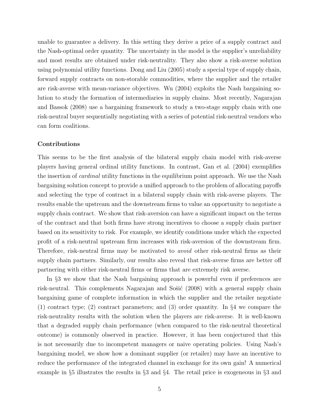unable to guarantee a delivery. In this setting they derive a price of a supply contract and the Nash-optimal order quantity. The uncertainty in the model is the supplier's unreliability and most results are obtained under risk-neutrality. They also show a risk-averse solution using polynomial utility functions. Dong and Liu (2005) study a special type of supply chain, forward supply contracts on non-storable commodities, where the supplier and the retailer are risk-averse with mean-variance objectives. Wu (2004) exploits the Nash bargaining solution to study the formation of intermediaries in supply chains. Most recently, Nagarajan and Bassok (2008) use a bargaining framework to study a two-stage supply chain with one risk-neutral buyer sequentially negotiating with a series of potential risk-neutral vendors who can form coalitions.

#### Contributions

This seems to be the first analysis of the bilateral supply chain model with risk-averse players having general ordinal utility functions. In contrast, Gan et al. (2004) exemplifies the insertion of *cardinal* utility functions in the equilibrium point approach. We use the Nash bargaining solution concept to provide a unified approach to the problem of allocating payoffs and selecting the type of contract in a bilateral supply chain with risk-averse players. The results enable the upstream and the downstream firms to value an opportunity to negotiate a supply chain contract. We show that risk-aversion can have a significant impact on the terms of the contract and that both firms have strong incentives to choose a supply chain partner based on its sensitivity to risk. For example, we identify conditions under which the expected profit of a risk-neutral upstream firm increases with risk-aversion of the downstream firm. Therefore, risk-neutral firms may be motivated to *avoid* other risk-neutral firms as their supply chain partners. Similarly, our results also reveal that risk-averse firms are better off partnering with either risk-neutral firms or firms that are extremely risk averse.

In §3 we show that the Nash bargaining approach is powerful even if preferences are risk-neutral. This complements Nagarajan and Sošić (2008) with a general supply chain bargaining game of complete information in which the supplier and the retailer negotiate (1) contract type; (2) contract parameters; and (3) order quantity. In  $\S 4$  we compare the risk-neutrality results with the solution when the players are risk-averse. It is well-known that a degraded supply chain performance (when compared to the risk-neutral theoretical outcome) is commonly observed in practice. However, it has been conjectured that this is not necessarily due to incompetent managers or naive operating policies. Using Nash's bargaining model, we show how a dominant supplier (or retailer) may have an incentive to reduce the performance of the integrated channel in exchange for its own gain! A numerical example in §5 illustrates the results in §3 and §4. The retail price is exogeneous in §3 and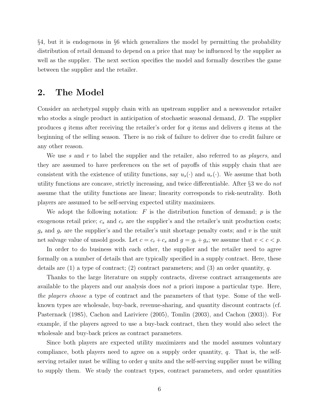§4, but it is endogenous in §6 which generalizes the model by permitting the probability distribution of retail demand to depend on a price that may be influenced by the supplier as well as the supplier. The next section specifies the model and formally describes the game between the supplier and the retailer.

## 2. The Model

Consider an archetypal supply chain with an upstream supplier and a newsvendor retailer who stocks a single product in anticipation of stochastic seasonal demand, D. The supplier produces q items after receiving the retailer's order for q items and delivers q items at the beginning of the selling season. There is no risk of failure to deliver due to credit failure or any other reason.

We use s and r to label the supplier and the retailer, also referred to as *players*, and they are assumed to have preferences on the set of payoffs of this supply chain that are consistent with the existence of utility functions, say  $u_s(\cdot)$  and  $u_r(\cdot)$ . We assume that both utility functions are concave, strictly increasing, and twice differentiable. After §3 we do not assume that the utility functions are linear; linearity corresponds to risk-neutrality. Both players are assumed to be self-serving expected utility maximizers.

We adopt the following notation:  $F$  is the distribution function of demand;  $p$  is the exogenous retail price;  $c_s$  and  $c_r$  are the supplier's and the retailer's unit production costs;  $g_s$  and  $g_r$  are the supplier's and the retailer's unit shortage penalty costs; and v is the unit net salvage value of unsold goods. Let  $c = c_r + c_s$  and  $g = g_r + g_s$ ; we assume that  $v < c < p$ .

In order to do business with each other, the supplier and the retailer need to agree formally on a number of details that are typically specified in a supply contract. Here, these details are  $(1)$  a type of contract;  $(2)$  contract parameters; and  $(3)$  an order quantity, q.

Thanks to the large literature on supply contracts, diverse contract arrangements are available to the players and our analysis does not a priori impose a particular type. Here, the players choose a type of contract and the parameters of that type. Some of the wellknown types are wholesale, buy-back, revenue-sharing, and quantity discount contracts (cf. Pasternack (1985), Cachon and Lariviere (2005), Tomlin (2003), and Cachon (2003)). For example, if the players agreed to use a buy-back contract, then they would also select the wholesale and buy-back prices as contract parameters.

Since both players are expected utility maximizers and the model assumes voluntary compliance, both players need to agree on a supply order quantity,  $q$ . That is, the selfserving retailer must be willing to order  $q$  units and the self-serving supplier must be willing to supply them. We study the contract types, contract parameters, and order quantities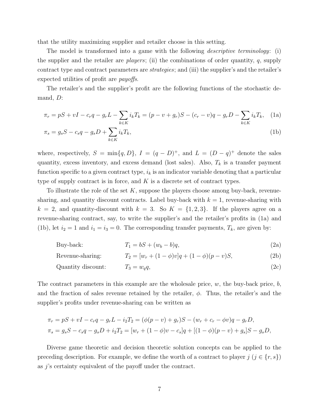that the utility maximizing supplier and retailer choose in this setting.

The model is transformed into a game with the following *descriptive terminology*: (i) the supplier and the retailer are *players*; (ii) the combinations of order quantity,  $q$ , supply contract type and contract parameters are strategies; and (iii) the supplier's and the retailer's expected utilities of profit are *payoffs*.

The retailer's and the supplier's profit are the following functions of the stochastic demand, D:

$$
\pi_r = pS + vI - c_r q - g_r L - \sum_{k \in K} i_k T_k = (p - v + g_r)S - (c_r - v)q - g_r D - \sum_{k \in K} i_k T_k, \quad (1a)
$$

$$
\pi_s = g_s S - c_s q - g_s D + \sum_{k \in K} i_k T_k, \tag{1b}
$$

where, respectively,  $S = \min\{q, D\}$ ,  $I = (q - D)^{+}$ , and  $L = (D - q)^{+}$  denote the sales quantity, excess inventory, and excess demand (lost sales). Also,  $T_k$  is a transfer payment function specific to a given contract type,  $i_k$  is an indicator variable denoting that a particular type of supply contract is in force, and  $K$  is a discrete set of contract types.

To illustrate the role of the set  $K$ , suppose the players choose among buy-back, revenuesharing, and quantity discount contracts. Label buy-back with  $k = 1$ , revenue-sharing with  $k = 2$ , and quantity-discount with  $k = 3$ . So  $K = \{1, 2, 3\}$ . If the players agree on a revenue-sharing contract, say, to write the supplier's and the retailer's profits in (1a) and (1b), let  $i_2 = 1$  and  $i_1 = i_3 = 0$ . The corresponding transfer payments,  $T_k$ , are given by:

$$
Buy-back: \t T_1 = bS + (w_b - b)q,
$$
\t(2a)

$$
Revenue-sharing: \t T_2 = [w_r + (1 - \phi)v]q + (1 - \phi)(p - v)S,
$$
\t(2b)

$$
Quantity discount: \t\t T_3 = w_q q,
$$
\t\t(2c)

The contract parameters in this example are the wholesale price,  $w$ , the buy-back price,  $b$ , and the fraction of sales revenue retained by the retailer,  $\phi$ . Thus, the retailer's and the supplier's profits under revenue-sharing can be written as

$$
\pi_r = pS + vI - c_r q - g_r L - i_2 T_2 = (\phi(p - v) + g_r)S - (w_r + c_r - \phi v)q - g_r D,
$$
  

$$
\pi_s = g_s S - c_s q - g_s D + i_2 T_2 = [w_r + (1 - \phi)v - c_s]q + [(1 - \phi)(p - v) + g_s]S - g_s D,
$$

Diverse game theoretic and decision theoretic solution concepts can be applied to the preceding description. For example, we define the worth of a contract to player  $j$  ( $j \in \{r, s\}$ ) as j's certainty equivalent of the payoff under the contract.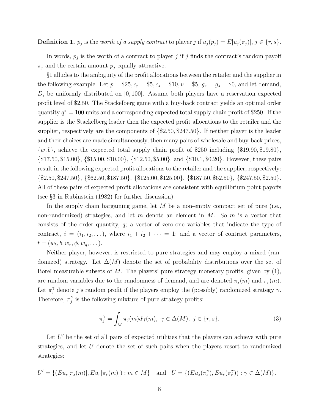**Definition 1.**  $p_j$  is the worth of a supply contract to player j if  $u_j(p_j) = E[u_j(\pi_j)], j \in \{r, s\}.$ 

In words,  $p_j$  is the worth of a contract to player j if j finds the contract's random payoff  $\pi_i$  and the certain amount  $p_i$  equally attractive.

§1 alludes to the ambiguity of the profit allocations between the retailer and the supplier in the following example. Let  $p = $25, c_r = $5, c_s = $10, v = $5, g_r = g_s = $0$ , and let demand, D, be uniformly distributed on [0, 100]. Assume both players have a reservation expected profit level of \$2.50. The Stackelberg game with a buy-back contract yields an optimal order quantity  $q^* = 100$  units and a corresponding expected total supply chain profit of \$250. If the supplier is the Stackelberg leader then the expected profit allocations to the retailer and the supplier, respectively are the components of {\$2.50, \$247.50}. If neither player is the leader and their choices are made simultaneously, then many pairs of wholesale and buy-back prices,  $\{w, b\}$ , achieve the expected total supply chain profit of \$250 including  $\{\$19.90, \$19.80\}$ , {\$17.50, \$15.00}, {\$15.00, \$10.00}, {\$12.50, \$5.00}, and {\$10.1, \$0.20}. However, these pairs result in the following expected profit allocations to the retailer and the supplier, respectively: {\$2.50, \$247.50}, {\$62.50, \$187.50}, {\$125.00, \$125.00}, {\$187.50, \$62.50}, {\$247.50, \$2.50}. All of these pairs of expected profit allocations are consistent with equilibrium point payoffs (see §3 in Rubinstein (1982) for further discussion).

In the supply chain bargaining game, let  $M$  be a non-empty compact set of pure (i.e., non-randomized) strategies, and let m denote an element in M. So m is a vector that consists of the order quantity, q; a vector of zero-one variables that indicate the type of contract,  $i = (i_1, i_2, \ldots)$ , where  $i_1 + i_2 + \cdots = 1$ ; and a vector of contract parameters,  $t = (w_b, b, w_r, \phi, w_q, \dots).$ 

Neither player, however, is restricted to pure strategies and may employ a mixed (randomized) strategy. Let  $\Delta(M)$  denote the set of probability distributions over the set of Borel measurable subsets of  $M$ . The players' pure strategy monetary profits, given by  $(1)$ , are random variables due to the randomness of demand, and are denoted  $\pi_s(m)$  and  $\pi_r(m)$ . Let  $\pi_j^{\gamma}$  denote j's random profit if the players employ the (possibly) randomized strategy  $\gamma$ . Therefore,  $\pi_i^{\gamma}$  $\gamma_j$  is the following mixture of pure strategy profits:

$$
\pi_j^{\gamma} = \int_M \pi_j(m) d\gamma(m), \ \gamma \in \Delta(M), \ j \in \{r, s\}.
$$
 (3)

Let  $U'$  be the set of all pairs of expected utilities that the players can achieve with pure strategies, and let U denote the set of such pairs when the players resort to randomized strategies:

$$
U' = \{ (Eu_s[\pi_s(m)], Eu_r[\pi_r(m)]) : m \in M \} \text{ and } U = \{ (Eu_s(\pi_s^{\gamma}), Eu_r(\pi_r^{\gamma})) : \gamma \in \Delta(M) \}.
$$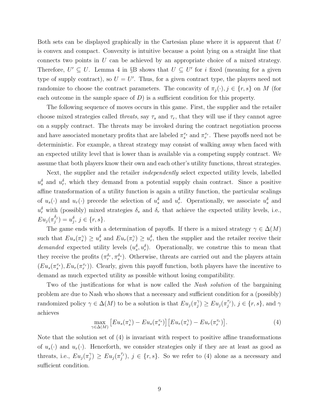Both sets can be displayed graphically in the Cartesian plane where it is apparent that U is convex and compact. Convexity is intuitive because a point lying on a straight line that connects two points in  $U$  can be achieved by an appropriate choice of a mixed strategy. Therefore,  $U' \subseteq U$ . Lemma 4 in §B shows that  $U \subseteq U'$  for i fixed (meaning for a given type of supply contract), so  $U = U'$ . Thus, for a given contract type, the players need not randomize to choose the contract parameters. The concavity of  $\pi_j(\cdot), j \in \{r, s\}$  on M (for each outcome in the sample space of  $D$ ) is a sufficient condition for this property.

The following sequence of moves occurs in this game. First, the supplier and the retailer choose mixed strategies called threats, say  $\tau_s$  and  $\tau_r$ , that they will use if they cannot agree on a supply contract. The threats may be invoked during the contract negotiation process and have associated monetary profits that are labeled  $\pi_s^{\tau_s}$  and  $\pi_r^{\tau_r}$ . These payoffs need not be deterministic. For example, a threat strategy may consist of walking away when faced with an expected utility level that is lower than is available via a competing supply contract. We assume that both players know their own and each other's utility functions, threat strategies.

Next, the supplier and the retailer *independently* select expected utility levels, labelled  $u_s^{\delta}$  and  $u_r^{\delta}$ , which they demand from a potential supply chain contract. Since a positive affine transformation of a utility function is again a utility function, the particular scalings of  $u_s(\cdot)$  and  $u_r(\cdot)$  precede the selection of  $u_s^{\delta}$  and  $u_r^{\delta}$ . Operationally, we associate  $u_s^{\delta}$  and  $u_r^{\delta}$  with (possibly) mixed strategies  $\delta_s$  and  $\delta_r$  that achieve the expected utility levels, i.e.,  $Eu_j(\pi_i^{\delta_j})$  $j^{(o_j)} = u_j^{\delta}, j \in \{r, s\}.$ 

The game ends with a determination of payoffs. If there is a mixed strategy  $\gamma \in \Delta(M)$ such that  $Eu_s(\pi_s^{\gamma}) \ge u_s^{\delta}$  and  $Eu_r(\pi_r^{\gamma}) \ge u_r^{\delta}$ , then the supplier and the retailer receive their demanded expected utility levels  $(u_s^{\delta}, u_r^{\delta})$ . Operationally, we construe this to mean that they receive the profits  $(\pi_r^{\delta_r}, \pi_s^{\delta_s})$ . Otherwise, threats are carried out and the players attain  $(Eu_s(\pi_s^{\tau_s}), Eu_r(\pi_r^{\tau_r}))$ . Clearly, given this payoff function, both players have the incentive to demand as much expected utility as possible without losing compatibility.

Two of the justifications for what is now called the *Nash solution* of the bargaining problem are due to Nash who shows that a necessary and sufficient condition for a (possibly) randomized policy  $\gamma \in \Delta(M)$  to be a solution is that  $Eu_j(\pi_j^{\gamma})$  $\binom{\gamma}{j} \geq Eu_j(\pi_j^{\tau_j})$  $j^{(r_j)}$ ,  $j \in \{r, s\}$ , and  $\gamma$ achieves

$$
\max_{\gamma \in \Delta(M)} \left[ E u_s(\pi_s^{\gamma}) - E u_s(\pi_s^{\tau_s}) \right] \left[ E u_r(\pi_r^{\gamma}) - E u_r(\pi_r^{\tau_r}) \right]. \tag{4}
$$

Note that the solution set of (4) is invariant with respect to positive affine transformations of  $u_s(\cdot)$  and  $u_r(\cdot)$ . Henceforth, we consider strategies only if they are at least as good as threats, i.e.,  $Eu_j(\pi_i^{\gamma})$  $\binom{\gamma}{j} \geq Eu_j(\pi_j^{\tau_j})$  $j^{(r_j)}$ ,  $j \in \{r, s\}$ . So we refer to (4) alone as a necessary and sufficient condition.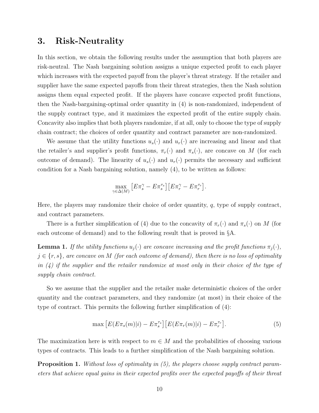# 3. Risk-Neutrality

In this section, we obtain the following results under the assumption that both players are risk-neutral. The Nash bargaining solution assigns a unique expected profit to each player which increases with the expected payoff from the player's threat strategy. If the retailer and supplier have the same expected payoffs from their threat strategies, then the Nash solution assigns them equal expected profit. If the players have concave expected profit functions, then the Nash-bargaining-optimal order quantity in (4) is non-randomized, independent of the supply contract type, and it maximizes the expected profit of the entire supply chain. Concavity also implies that both players randomize, if at all, only to choose the type of supply chain contract; the choices of order quantity and contract parameter are non-randomized.

We assume that the utility functions  $u_s(\cdot)$  and  $u_r(\cdot)$  are increasing and linear and that the retailer's and supplier's profit functions,  $\pi_r(\cdot)$  and  $\pi_s(\cdot)$ , are concave on M (for each outcome of demand). The linearity of  $u_s(\cdot)$  and  $u_r(\cdot)$  permits the necessary and sufficient condition for a Nash bargaining solution, namely (4), to be written as follows:

$$
\max_{\gamma \in \Delta(M)} \left[ E \pi_s^{\gamma} - E \pi_s^{\tau_s} \right] \left[ E \pi_r^{\gamma} - E \pi_r^{\tau_r} \right].
$$

Here, the players may randomize their choice of order quantity,  $q$ , type of supply contract, and contract parameters.

There is a further simplification of (4) due to the concavity of  $\pi_r(\cdot)$  and  $\pi_s(\cdot)$  on M (for each outcome of demand) and to the following result that is proved in §A.

**Lemma 1.** If the utility functions  $u_j(\cdot)$  are concave increasing and the profit functions  $\pi_j(\cdot)$ ,  $j \in \{r, s\}$ , are concave on M (for each outcome of demand), then there is no loss of optimality in (4) if the supplier and the retailer randomize at most only in their choice of the type of supply chain contract.

So we assume that the supplier and the retailer make deterministic choices of the order quantity and the contract parameters, and they randomize (at most) in their choice of the type of contract. This permits the following further simplification of (4):

$$
\max\left[E(E\pi_s(m)|i) - E\pi_s^{\tau_s}\right]\left[E(E\pi_r(m)|i) - E\pi_r^{\tau_r}\right].\tag{5}
$$

The maximization here is with respect to  $m \in M$  and the probabilities of choosing various types of contracts. This leads to a further simplification of the Nash bargaining solution.

**Proposition 1.** Without loss of optimality in (5), the players choose supply contract parameters that achieve equal gains in their expected profits over the expected payoffs of their threat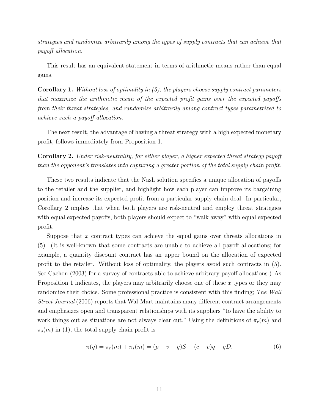strategies and randomize arbitrarily among the types of supply contracts that can achieve that payoff allocation.

This result has an equivalent statement in terms of arithmetic means rather than equal gains.

**Corollary 1.** Without loss of optimality in  $(5)$ , the players choose supply contract parameters that maximize the arithmetic mean of the expected profit gains over the expected payoffs from their threat strategies, and randomize arbitrarily among contract types parametrized to achieve such a payoff allocation.

The next result, the advantage of having a threat strategy with a high expected monetary profit, follows immediately from Proposition 1.

Corollary 2. Under risk-neutrality, for either player, a higher expected threat strategy payoff than the opponent's translates into capturing a greater portion of the total supply chain profit.

These two results indicate that the Nash solution specifies a unique allocation of payoffs to the retailer and the supplier, and highlight how each player can improve its bargaining position and increase its expected profit from a particular supply chain deal. In particular, Corollary 2 implies that when both players are risk-neutral and employ threat strategies with equal expected payoffs, both players should expect to "walk away" with equal expected profit.

Suppose that x contract types can achieve the equal gains over threats allocations in (5). (It is well-known that some contracts are unable to achieve all payoff allocations; for example, a quantity discount contract has an upper bound on the allocation of expected profit to the retailer. Without loss of optimality, the players avoid such contracts in (5). See Cachon (2003) for a survey of contracts able to achieve arbitrary payoff allocations.) As Proposition 1 indicates, the players may arbitrarily choose one of these  $x$  types or they may randomize their choice. Some professional practice is consistent with this finding; The Wall Street Journal (2006) reports that Wal-Mart maintains many different contract arrangements and emphasizes open and transparent relationships with its suppliers "to have the ability to work things out as situations are not always clear cut." Using the definitions of  $\pi_r(m)$  and  $\pi_s(m)$  in (1), the total supply chain profit is

$$
\pi(q) = \pi_r(m) + \pi_s(m) = (p - v + g)S - (c - v)q - gD.
$$
\n(6)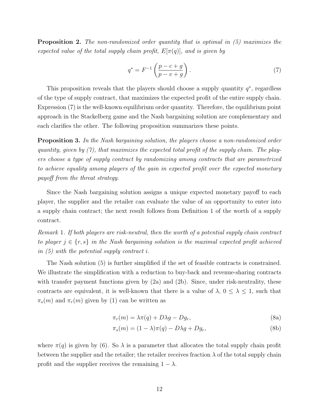Proposition 2. The non-randomized order quantity that is optimal in (5) maximizes the expected value of the total supply chain profit,  $E[\pi(q)]$ , and is given by

$$
q^* = F^{-1}\left(\frac{p-c+g}{p-v+g}\right). \tag{7}
$$

This proposition reveals that the players should choose a supply quantity  $q^*$ , regardless of the type of supply contract, that maximizes the expected profit of the entire supply chain. Expression (7) is the well-known equilibrium order quantity. Therefore, the equilibrium point approach in the Stackelberg game and the Nash bargaining solution are complementary and each clarifies the other. The following proposition summarizes these points.

Proposition 3. In the Nash bargaining solution, the players choose a non-randomized order quantity, given by  $(7)$ , that maximizes the expected total profit of the supply chain. The players choose a type of supply contract by randomizing among contracts that are parametrized to achieve equality among players of the gain in expected profit over the expected monetary payoff from the threat strategy.

Since the Nash bargaining solution assigns a unique expected monetary payoff to each player, the supplier and the retailer can evaluate the value of an opportunity to enter into a supply chain contract; the next result follows from Definition 1 of the worth of a supply contract.

Remark 1. If both players are risk-neutral, then the worth of a potential supply chain contract to player  $j \in \{r, s\}$  in the Nash bargaining solution is the maximal expected profit achieved in  $(5)$  with the potential supply contract i.

The Nash solution (5) is further simplified if the set of feasible contracts is constrained. We illustrate the simplification with a reduction to buy-back and revenue-sharing contracts with transfer payment functions given by  $(2a)$  and  $(2b)$ . Since, under risk-neutrality, these contracts are equivalent, it is well-known that there is a value of  $\lambda$ ,  $0 \leq \lambda \leq 1$ , such that  $\pi_s(m)$  and  $\pi_r(m)$  given by (1) can be written as

$$
\pi_r(m) = \lambda \pi(q) + D\lambda g - Dg_r,\tag{8a}
$$

$$
\pi_s(m) = (1 - \lambda)\pi(q) - D\lambda g + Dg_r,\tag{8b}
$$

where  $\pi(q)$  is given by (6). So  $\lambda$  is a parameter that allocates the total supply chain profit between the supplier and the retailer; the retailer receives fraction  $\lambda$  of the total supply chain profit and the supplier receives the remaining  $1 - \lambda$ .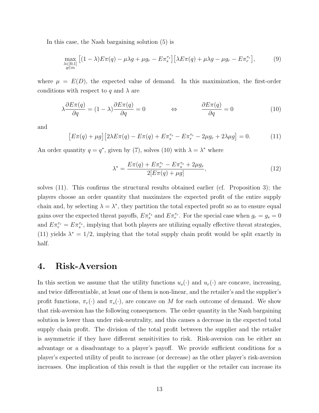In this case, the Nash bargaining solution (5) is

$$
\max_{\substack{\lambda \in [0,1] \\ q \in m}} \left[ (1 - \lambda) E \pi(q) - \mu \lambda g + \mu g_r - E \pi_s^{\tau_s} \right] \left[ \lambda E \pi(q) + \mu \lambda g - \mu g_r - E \pi_r^{\tau_r} \right],\tag{9}
$$

where  $\mu = E(D)$ , the expected value of demand. In this maximization, the first-order conditions with respect to q and  $\lambda$  are

$$
\lambda \frac{\partial E \pi(q)}{\partial q} = (1 - \lambda) \frac{\partial E \pi(q)}{\partial q} = 0 \qquad \Leftrightarrow \qquad \frac{\partial E \pi(q)}{\partial q} = 0 \qquad (10)
$$

and

$$
\left[E\pi(q) + \mu g\right]\left[2\lambda E\pi(q) - E\pi(q) + E\pi_s^{\tau_s} - E\pi_r^{\tau_r} - 2\mu g_r + 2\lambda\mu g\right] = 0. \tag{11}
$$

An order quantity  $q = q^*$ , given by (7), solves (10) with  $\lambda = \lambda^*$  where

$$
\lambda^* = \frac{E\pi(q) + E\pi_r^{\tau_r} - E\pi_s^{\tau_s} + 2\mu g_r}{2[E\pi(q) + \mu g]},
$$
\n(12)

solves (11). This confirms the structural results obtained earlier (cf. Proposition 3); the players choose an order quantity that maximizes the expected profit of the entire supply chain and, by selecting  $\lambda = \lambda^*$ , they partition the total expected profit so as to ensure equal gains over the expected threat payoffs,  $E\pi_s^{\tau_s}$  and  $E\pi_r^{\tau_r}$ . For the special case when  $g_r = g_s = 0$ and  $E\pi_r^{\tau_r} = E\pi_s^{\tau_s}$ , implying that both players are utilizing equally effective threat strategies, (11) yields  $\lambda^* = 1/2$ , implying that the total supply chain profit would be split exactly in half.

## 4. Risk-Aversion

In this section we assume that the utility functions  $u_s(\cdot)$  and  $u_r(\cdot)$  are concave, increasing, and twice differentiable, at least one of them is non-linear, and the retailer's and the supplier's profit functions,  $\pi_r(\cdot)$  and  $\pi_s(\cdot)$ , are concave on M for each outcome of demand. We show that risk-aversion has the following consequences. The order quantity in the Nash bargaining solution is lower than under risk-neutrality, and this causes a decrease in the expected total supply chain profit. The division of the total profit between the supplier and the retailer is asymmetric if they have different sensitivities to risk. Risk-aversion can be either an advantage or a disadvantage to a player's payoff. We provide sufficient conditions for a player's expected utility of profit to increase (or decrease) as the other player's risk-aversion increases. One implication of this result is that the supplier or the retailer can increase its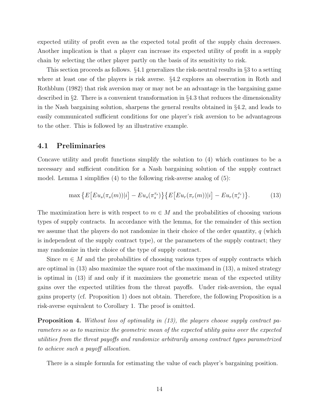expected utility of profit even as the expected total profit of the supply chain decreases. Another implication is that a player can increase its expected utility of profit in a supply chain by selecting the other player partly on the basis of its sensitivity to risk.

This section proceeds as follows. §4.1 generalizes the risk-neutral results in §3 to a setting where at least one of the players is risk averse. §4.2 explores an observation in Roth and Rothblum (1982) that risk aversion may or may not be an advantage in the bargaining game described in §2. There is a convenient transformation in §4.3 that reduces the dimensionality in the Nash bargaining solution, sharpens the general results obtained in §4.2, and leads to easily communicated sufficient conditions for one player's risk aversion to be advantageous to the other. This is followed by an illustrative example.

### 4.1 Preliminaries

Concave utility and profit functions simplify the solution to (4) which continues to be a necessary and sufficient condition for a Nash bargaining solution of the supply contract model. Lemma 1 simplifies (4) to the following risk-averse analog of (5):

$$
\max \left\{ E\big[Eu_s(\pi_s(m))|i\big] - Eu_s(\pi_s^{\tau_s})\right\} \left\{ E\big[Eu_r(\pi_r(m))|i\big] - Eu_r(\pi_r^{\tau_r})\right\}.
$$
 (13)

The maximization here is with respect to  $m \in M$  and the probabilities of choosing various types of supply contracts. In accordance with the lemma, for the remainder of this section we assume that the players do not randomize in their choice of the order quantity,  $q$  (which is independent of the supply contract type), or the parameters of the supply contract; they may randomize in their choice of the type of supply contract.

Since  $m \in M$  and the probabilities of choosing various types of supply contracts which are optimal in (13) also maximize the square root of the maximand in (13), a mixed strategy is optimal in (13) if and only if it maximizes the geometric mean of the expected utility gains over the expected utilities from the threat payoffs. Under risk-aversion, the equal gains property (cf. Proposition 1) does not obtain. Therefore, the following Proposition is a risk-averse equivalent to Corollary 1. The proof is omitted.

**Proposition 4.** Without loss of optimality in  $(13)$ , the players choose supply contract parameters so as to maximize the geometric mean of the expected utility gains over the expected utilities from the threat payoffs and randomize arbitrarily among contract types parametrized to achieve such a payoff allocation.

There is a simple formula for estimating the value of each player's bargaining position.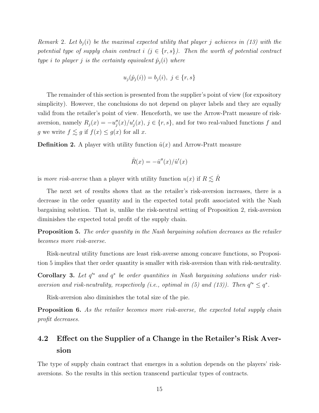Remark 2. Let  $b_i(i)$  be the maximal expected utility that player j achieves in (13) with the potential type of supply chain contract  $i$  ( $j \in \{r, s\}$ ). Then the worth of potential contract type i to player j is the certainty equivalent  $\hat{p}_i(i)$  where

$$
u_j(\hat{p}_j(i)) = b_j(i), \ j \in \{r, s\}
$$

The remainder of this section is presented from the supplier's point of view (for expository simplicity). However, the conclusions do not depend on player labels and they are equally valid from the retailer's point of view. Henceforth, we use the Arrow-Pratt measure of riskaversion, namely  $R_j(x) = -u''_j(x)/u'_j(x)$ ,  $j \in \{r, s\}$ , and for two real-valued functions f and g we write  $f \lesssim g$  if  $f(x) \leq g(x)$  for all x.

**Definition 2.** A player with utility function  $\hat{u}(x)$  and Arrow-Pratt measure

$$
\hat{R}(x) = -\hat{u}''(x)/\hat{u}'(x)
$$

is more risk-averse than a player with utility function  $u(x)$  if  $R \lesssim \hat{R}$ 

The next set of results shows that as the retailer's risk-aversion increases, there is a decrease in the order quantity and in the expected total profit associated with the Nash bargaining solution. That is, unlike the risk-neutral setting of Proposition 2, risk-aversion diminishes the expected total profit of the supply chain.

**Proposition 5.** The order quantity in the Nash bargaining solution decreases as the retailer becomes more risk-averse.

Risk-neutral utility functions are least risk-averse among concave functions, so Proposition 5 implies that ther order quantity is smaller with risk-aversion than with risk-neutrality.

Corollary 3. Let  $q^*$  and  $q^*$  be order quantities in Nash bargaining solutions under riskaversion and risk-neutrality, respectively (i.e., optimal in (5) and (13)). Then  $q^* \leq q^*$ .

Risk-aversion also diminishes the total size of the pie.

**Proposition 6.** As the retailer becomes more risk-averse, the expected total supply chain profit decreases.

# 4.2 Effect on the Supplier of a Change in the Retailer's Risk Aversion

The type of supply chain contract that emerges in a solution depends on the players' riskaversions. So the results in this section transcend particular types of contracts.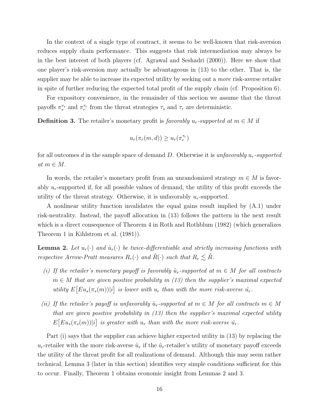In the context of a single type of contract, it seems to be well-known that risk-aversion reduces supply chain performance. This suggests that risk intermediation may always be in the best interest of both players (cf. Agrawal and Seshadri (2000)). Here we show that one player's risk-aversion may actually be advantageous in (13) to the other. That is, the supplier may be able to increase its expected utility by seeking out a *more* risk-averse retailer in spite of further reducing the expected total profit of the supply chain (cf. Proposition 6).

For expository convenience, in the remainder of this section we assume that the threat payoffs  $\pi_s^{\tau_s}$  and  $\pi_r^{\tau_r}$  from the threat strategies  $\tau_s$  and  $\tau_r$  are deterministic.

**Definition 3.** The retailer's monetary profit is favorably  $u_r$ -supported at  $m \in M$  if

$$
u_r(\pi_r(m,d)) \ge u_r(\pi_r^{\tau_r})
$$

for all outcomes d in the sample space of demand D. Otherwise it is unfavorably  $u_r$ -supported at  $m \in M$ .

In words, the retailer's monetary profit from an unrandomized strategy  $m \in M$  is favorably  $u_r$ -supported if, for all possible values of demand, the utility of this profit exceeds the utility of the threat strategy. Otherwise, it is unfavorably  $u_r$ -supported.

A nonlinear utility function invalidates the equal gains result implied by (A.1) under risk-neutrality. Instead, the payoff allocation in (13) follows the pattern in the next result which is a direct consequence of Theorem 4 in Roth and Rothblum (1982) (which generalizes Theorem 1 in Kihlstrom et al. (1981)).

**Lemma 2.** Let  $u_r(\cdot)$  and  $\hat{u}_r(\cdot)$  be twice-differentiable and strictly increasing functions with respective Arrow-Pratt measures  $R_r(\cdot)$  and  $\hat{R}(\cdot)$  such that  $R_r \lesssim \hat{R}$ .

- (i) If the retailer's monetary payoff is favorably  $\hat{u}_r$ -supported at  $m \in M$  for all contracts  $m \in M$  that are given positive probability in (13) then the supplier's maximal expected utility  $E[Eu_s(\pi_s(m))|i]$  is lower with  $u_r$  than with the more risk-averse  $\hat{u_r}$ .
- (ii) If the retailer's payoff is unfavorably  $\hat{u}_r$ -supported at  $m \in M$  for all contracts  $m \in M$ that are given positive probability in (13) then the supplier's maximal expected utility  $E\big[E_{u_s}(\pi_s(m))|i\big]$  is greater with  $u_r$  than with the more risk-averse  $\hat{u_r}$ .

Part (i) says that the supplier can achieve higher expected utility in (13) by replacing the  $u_r$ -retailer with the more risk-averse  $\hat{u}_r$  if the  $\hat{u}_r$ -retailer's utility of monetary payoff exceeds the utility of the threat profit for all realizations of demand. Although this may seem rather technical, Lemma 3 (later in this section) identifies very simple conditions sufficient for this to occur. Finally, Theorem 1 obtains economic insight from Lemmas 2 and 3.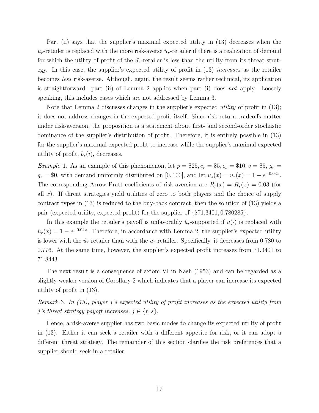Part (ii) says that the supplier's maximal expected utility in (13) decreases when the  $u_r$ -retailer is replaced with the more risk-averse  $\hat{u}_r$ -retailer if there is a realization of demand for which the utility of profit of the  $\hat{u}_r$ -retailer is less than the utility from its threat strategy. In this case, the supplier's expected utility of profit in (13) increases as the retailer becomes less risk-averse. Although, again, the result seems rather technical, its application is straightforward: part (ii) of Lemma 2 applies when part (i) does not apply. Loosely speaking, this includes cases which are not addressed by Lemma 3.

Note that Lemma 2 discusses changes in the supplier's expected *utility* of profit in (13); it does not address changes in the expected profit itself. Since risk-return tradeoffs matter under risk-aversion, the proposition is a statement about first- and second-order stochastic dominance of the supplier's distribution of profit. Therefore, it is entirely possible in (13) for the supplier's maximal expected profit to increase while the supplier's maximal expected utility of profit,  $b_s(i)$ , decreases.

Example 1. As an example of this phenomenon, let  $p = $25, c_r = $5, c_s = $10, v = $5, g_r =$  $g_s = $0$ , with demand uniformly distributed on [0, 100], and let  $u_s(x) = u_r(x) = 1 - e^{-0.03x}$ . The corresponding Arrow-Pratt coefficients of risk-aversion are  $R_r(x) = R_s(x) = 0.03$  (for all x). If threat strategies yield utilities of zero to both players and the choice of supply contract types in (13) is reduced to the buy-back contract, then the solution of (13) yields a pair (expected utility, expected profit) for the supplier of {\$71.3401, 0.780285}.

In this example the retailer's payoff is unfavorably  $\hat{u}_r$ -supported if  $u(\cdot)$  is replaced with  $\hat{u}_r(x) = 1 - e^{-0.04x}$ . Therefore, in accordance with Lemma 2, the supplier's expected utility is lower with the  $\hat{u}_r$  retailer than with the  $u_r$  retailer. Specifically, it decreases from 0.780 to 0.776. At the same time, however, the supplier's expected profit increases from 71.3401 to 71.8443.

The next result is a consequence of axiom VI in Nash (1953) and can be regarded as a slightly weaker version of Corollary 2 which indicates that a player can increase its expected utility of profit in (13).

Remark 3. In (13), player j's expected utility of profit increases as the expected utility from j's threat strategy payoff increases,  $j \in \{r, s\}$ .

Hence, a risk-averse supplier has two basic modes to change its expected utility of profit in (13). Either it can seek a retailer with a different appetite for risk, or it can adopt a different threat strategy. The remainder of this section clarifies the risk preferences that a supplier should seek in a retailer.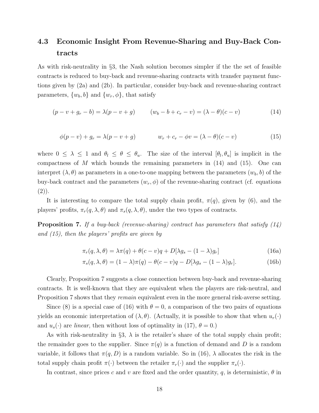# 4.3 Economic Insight From Revenue-Sharing and Buy-Back Contracts

As with risk-neutrality in §3, the Nash solution becomes simpler if the the set of feasible contracts is reduced to buy-back and revenue-sharing contracts with transfer payment functions given by (2a) and (2b). In particular, consider buy-back and revenue-sharing contract parameters,  $\{w_b, b\}$  and  $\{w_r, \phi\}$ , that satisfy

$$
(p - v + g_r - b) = \lambda (p - v + g) \qquad (w_b - b + c_r - v) = (\lambda - \theta)(c - v) \tag{14}
$$

$$
\phi(p-v) + g_r = \lambda(p-v+g) \qquad w_r + c_r - \phi v = (\lambda - \theta)(c-v) \tag{15}
$$

where  $0 \leq \lambda \leq 1$  and  $\theta_l \leq \theta \leq \theta_u$ . The size of the interval  $[\theta_l, \theta_u]$  is implicit in the compactness of  $M$  which bounds the remaining parameters in  $(14)$  and  $(15)$ . One can interpret  $(\lambda, \theta)$  as parameters in a one-to-one mapping between the parameters  $(w_b, b)$  of the buy-back contract and the parameters  $(w_r, \phi)$  of the revenue-sharing contract (cf. equations  $(2).$ 

It is interesting to compare the total supply chain profit,  $\pi(q)$ , given by (6), and the players' profits,  $\pi_r(q, \lambda, \theta)$  and  $\pi_s(q, \lambda, \theta)$ , under the two types of contracts.

**Proposition 7.** If a buy-back (revenue-sharing) contract has parameters that satisfy  $(14)$ and (15), then the players' profits are given by

$$
\pi_r(q, \lambda, \theta) = \lambda \pi(q) + \theta(c - v)q + D[\lambda g_s - (1 - \lambda)g_r]
$$
\n(16a)

$$
\pi_s(q, \lambda, \theta) = (1 - \lambda)\pi(q) - \theta(c - v)q - D[\lambda g_s - (1 - \lambda)g_r].
$$
\n(16b)

Clearly, Proposition 7 suggests a close connection between buy-back and revenue-sharing contracts. It is well-known that they are equivalent when the players are risk-neutral, and Proposition 7 shows that they *remain* equivalent even in the more general risk-averse setting.

Since (8) is a special case of (16) with  $\theta = 0$ , a comparison of the two pairs of equations yields an economic interpretation of  $(\lambda, \theta)$ . (Actually, it is possible to show that when  $u_r(\cdot)$ and  $u_s(\cdot)$  are *linear*, then without loss of optimality in (17),  $\theta = 0$ .)

As with risk-neutrality in §3,  $\lambda$  is the retailer's share of the total supply chain profit; the remainder goes to the supplier. Since  $\pi(q)$  is a function of demand and D is a random variable, it follows that  $\pi(q, D)$  is a random variable. So in (16),  $\lambda$  allocates the risk in the total supply chain profit  $\pi(\cdot)$  between the retailer  $\pi_r(\cdot)$  and the supplier  $\pi_s(\cdot)$ .

In contrast, since prices c and v are fixed and the order quantity, q, is deterministic,  $\theta$  in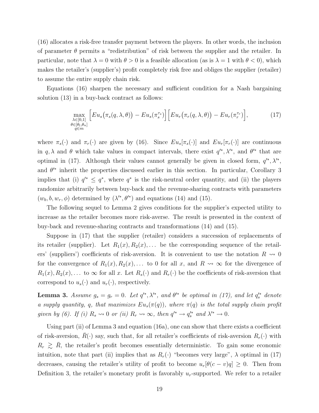(16) allocates a risk-free transfer payment between the players. In other words, the inclusion of parameter  $\theta$  permits a "redistribution" of risk between the supplier and the retailer. In particular, note that  $\lambda = 0$  with  $\theta > 0$  is a feasible allocation (as is  $\lambda = 1$  with  $\theta < 0$ ), which makes the retailer's (supplier's) profit completely risk free and obliges the supplier (retailer) to assume the entire supply chain risk.

Equations (16) sharpen the necessary and sufficient condition for a Nash bargaining solution (13) in a buy-back contract as follows:

$$
\max_{\substack{\lambda \in [0,1] \\ \theta \in [\theta_t, \theta_u]}} \left[ Eu_s(\pi_s(q, \lambda, \theta)) - Eu_s(\pi_s^{\tau_s}) \right] \left[ Eu_r(\pi_r(q, \lambda, \theta)) - Eu_r(\pi_r^{\tau_r}) \right],\tag{17}
$$

where  $\pi_s(\cdot)$  and  $\pi_r(\cdot)$  are given by (16). Since  $Eu_s[\pi_s(\cdot)]$  and  $Eu_r[\pi_r(\cdot)]$  are continuous in q,  $\lambda$  and  $\theta$  which take values in compact intervals, there exist  $q'^*, \lambda'^*,$  and  $\theta'^*$  that are optimal in (17). Although their values cannot generally be given in closed form,  $q'^*, \lambda'^*,$ and  $\theta^{\prime*}$  inherit the properties discussed earlier in this section. In particular, Corollary 3 implies that (i)  $q^* \leq q^*$ , where  $q^*$  is the risk-neutral order quantity, and (ii) the players randomize arbitrarily between buy-back and the revenue-sharing contracts with parameters  $(w_b, b, w_r, \phi)$  determined by  $(\lambda^{\prime*}, \theta^{\prime*})$  and equations (14) and (15).

The following sequel to Lemma 2 gives conditions for the supplier's expected utility to increase as the retailer becomes more risk-averse. The result is presented in the context of buy-back and revenue-sharing contracts and transformations (14) and (15).

Suppose in (17) that the supplier (retailer) considers a succession of replacements of its retailer (supplier). Let  $R_1(x), R_2(x), \ldots$  be the corresponding sequence of the retailers' (suppliers') coefficients of risk-aversion. It is convenient to use the notation  $R \rightarrow 0$ for the convergence of  $R_1(x), R_2(x), \ldots$  to 0 for all x, and  $R \leadsto \infty$  for the divergence of  $R_1(x), R_2(x), \ldots$  to  $\infty$  for all x. Let  $R_s(\cdot)$  and  $R_r(\cdot)$  be the coefficients of risk-aversion that correspond to  $u_s(\cdot)$  and  $u_r(\cdot)$ , respectively.

**Lemma 3.** Assume  $g_s = g_r = 0$ . Let  $q'^*, \lambda'^*,$  and  $\theta'^*$  be optimal in (17), and let  $q_s'^*$  denote a supply quantity, q, that maximizes  $Eu_s(\pi(q))$ , where  $\pi(q)$  is the total supply chain profit given by (6). If (i)  $R_s \rightarrow 0$  or (ii)  $R_r \rightarrow \infty$ , then  $q'^* \rightarrow q_s'^*$  and  $\lambda'^* \rightarrow 0$ .

Using part (ii) of Lemma 3 and equation (16a), one can show that there exists a coefficient of risk-aversion,  $R(\cdot)$  say, such that, for all retailer's coefficients of risk-aversion  $R_r(\cdot)$  with  $R_r \geq R$ , the retailer's profit becomes essentially deterministic. To gain some economic intuition, note that part (ii) implies that as  $R_r(\cdot)$  "becomes very large",  $\lambda$  optimal in (17) decreases, causing the retailer's utility of profit to become  $u_r[\theta(c-v)q] \geq 0$ . Then from Definition 3, the retailer's monetary profit is favorably  $u_r$ -supported. We refer to a retailer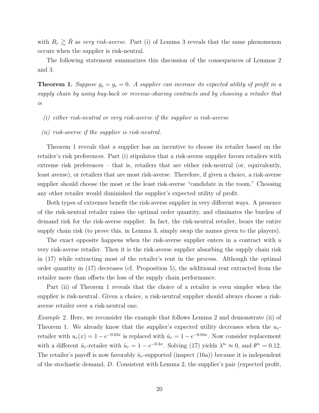with  $R_r \gtrsim \bar{R}$  as very risk-averse. Part (i) of Lemma 3 reveals that the same phenomenon occurs when the supplier is risk-neutral.

The following statement summarizes this discussion of the consequences of Lemmas 2 and 3.

**Theorem 1.** Suppose  $g_s = g_r = 0$ . A supplier can increase its expected utility of profit in a supply chain by using buy-back or revenue-sharing contracts and by choosing a retailer that is

- $(i)$  either risk-neutral or very risk-averse if the supplier is risk-averse
- (ii) risk-averse if the supplier is risk-neutral.

Theorem 1 reveals that a supplier has an incentive to choose its retailer based on the retailer's risk preferences. Part (i) stipulates that a risk-averse supplier favors retailers with extreme risk preferences – that is, retailers that are either risk-neutral (or, equivalently, least averse), or retailers that are most risk-averse. Therefore, if given a choice, a risk-averse supplier should choose the most or the least risk-averse "candidate in the room." Choosing any other retailer would diminished the supplier's expected utility of profit.

Both types of extremes benefit the risk-averse supplier in very different ways. A presence of the risk-neutral retailer raises the optimal order quantity, and eliminates the burden of demand risk for the risk-averse supplier. In fact, the risk-neutral retailer, bears the entire supply chain risk (to prove this, in Lemma 3, simply swap the names given to the players).

The exact opposite happens when the risk-averse supplier enters in a contract with a very risk-averse retailer. Then it is the risk-averse supplier absorbing the supply chain risk in (17) while extracting most of the retailer's rent in the process. Although the optimal order quantity in (17) decreases (cf. Proposition 5), the additional rent extracted from the retailer more than offsets the loss of the supply chain performance.

Part (ii) of Theorem 1 reveals that the choice of a retailer is even simpler when the supplier is risk-neutral. Given a choice, a risk-neutral supplier should always choose a riskaverse retailer over a risk-neutral one.

Example 2. Here, we reconsider the example that follows Lemma 2 and demonstrate (ii) of Theorem 1. We already know that the supplier's expected utility decreases when the  $u_r$ retailer with  $u_r(x) = 1 - e^{-0.03x}$  is replaced with  $\hat{u}_r = 1 - e^{-0.04x}$ . Now consider replacement with a different  $\hat{u}_r$ -retailer with  $\hat{u}_r = 1 - e^{-0.3x}$ . Solving (17) yields  $\lambda^{\prime*} \approx 0$ , and  $\theta^{\prime*} = 0.12$ . The retailer's payoff is now favorably  $\hat{u}_r$ -supported (inspect (16a)) because it is independent of the stochastic demand, D. Consistent with Lemma 2, the supplier's pair (expected profit,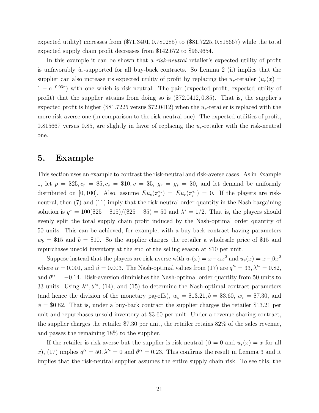expected utility) increases from (\$71.3401, 0.780285) to (\$81.7225, 0.815667) while the total expected supply chain profit decreases from \$142.672 to \$96.9654.

In this example it can be shown that a *risk-neutral* retailer's expected utility of profit is unfavorably  $\hat{u}_r$ -supported for all buy-back contracts. So Lemma 2 (ii) implies that the supplier can also increase its expected utility of profit by replacing the  $u_r$ -retailer  $(u_r(x) =$  $1 - e^{-0.03x}$ ) with one which is risk-neutral. The pair (expected profit, expected utility of profit) that the supplier attains from doing so is (\$72.0412, 0.85). That is, the supplier's expected profit is higher (\$81.7225 versus \$72.0412) when the  $u_r$ -retailer is replaced with the more risk-averse one (in comparison to the risk-neutral one). The expected utilities of profit, 0.815667 versus 0.85, are slightly in favor of replacing the  $u_r$ -retailer with the risk-neutral one.

### 5. Example

This section uses an example to contrast the risk-neutral and risk-averse cases. As in Example 1, let  $p = $25, c_r = $5, c_s = $10, v = $5, g_r = g_s = $0,$  and let demand be uniformly distributed on [0, 100]. Also, assume  $Eu_s(\pi_s^{\tau_s}) = Eu_r(\pi_r^{\tau_r}) = 0$ . If the players are riskneutral, then (7) and (11) imply that the risk-neutral order quantity in the Nash bargaining solution is  $q^* = 100(\$25 - \$15) / (\$25 - \$5) = 50$  and  $\lambda^* = 1/2$ . That is, the players should evenly split the total supply chain profit induced by the Nash-optimal order quantity of 50 units. This can be achieved, for example, with a buy-back contract having parameters  $w_b = $15$  and  $b = $10$ . So the supplier charges the retailer a wholesale price of \$15 and repurchases unsold inventory at the end of the selling season at \$10 per unit.

Suppose instead that the players are risk-averse with  $u_r(x) = x - \alpha x^2$  and  $u_s(x) = x - \beta x^2$ where  $\alpha = 0.001$ , and  $\beta = 0.003$ . The Nash-optimal values from (17) are  $q'^* = 33$ ,  $\lambda'^* = 0.82$ , and  $\theta^{\prime*} = -0.14$ . Risk-aversion diminishes the Nash-optimal order quantity from 50 units to 33 units. Using  $\lambda^{\prime*}, \theta^{\prime*}$ , (14), and (15) to determine the Nash-optimal contract parameters (and hence the division of the monetary payoffs),  $w_b = $13.21, b = $3.60, w_r = $7.30,$  and  $\phi = \$0.82$ . That is, under a buy-back contract the supplier charges the retailer \$13.21 per unit and repurchases unsold inventory at \$3.60 per unit. Under a revenue-sharing contract, the supplier charges the retailer \$7.30 per unit, the retailer retains 82% of the sales revenue, and passes the remaining 18% to the supplier.

If the retailer is risk-averse but the supplier is risk-neutral ( $\beta = 0$  and  $u_s(x) = x$  for all x), (17) implies  $q^* = 50$ ,  $\lambda^* = 0$  and  $\theta^* = 0.23$ . This confirms the result in Lemma 3 and it implies that the risk-neutral supplier assumes the entire supply chain risk. To see this, the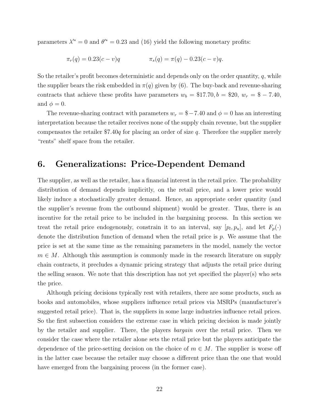parameters  $\lambda^* = 0$  and  $\theta^* = 0.23$  and (16) yield the following monetary profits:

$$
\pi_r(q) = 0.23(c - v)q \qquad \qquad \pi_s(q) = \pi(q) - 0.23(c - v)q.
$$

So the retailer's profit becomes deterministic and depends only on the order quantity,  $q$ , while the supplier bears the risk embedded in  $\pi(q)$  given by (6). The buy-back and revenue-sharing contracts that achieve these profits have parameters  $w_b = $17.70, b = $20, w_r = $-7.40,$ and  $\phi = 0$ .

The revenue-sharing contract with parameters  $w_r = $-7.40$  and  $\phi = 0$  has an interesting interpretation because the retailer receives none of the supply chain revenue, but the supplier compensates the retailer  $$7.40q$  for placing an order of size q. Therefore the supplier merely "rents" shelf space from the retailer.

## 6. Generalizations: Price-Dependent Demand

The supplier, as well as the retailer, has a financial interest in the retail price. The probability distribution of demand depends implicitly, on the retail price, and a lower price would likely induce a stochastically greater demand. Hence, an appropriate order quantity (and the supplier's revenue from the outbound shipment) would be greater. Thus, there is an incentive for the retail price to be included in the bargaining process. In this section we treat the retail price endogenously, constrain it to an interval, say  $[p_l, p_u]$ , and let  $F_p(\cdot)$ denote the distribution function of demand when the retail price is  $p$ . We assume that the price is set at the same time as the remaining parameters in the model, namely the vector  $m \in M$ . Although this assumption is commonly made in the research literature on supply chain contracts, it precludes a dynamic pricing strategy that adjusts the retail price during the selling season. We note that this description has not yet specified the player(s) who sets the price.

Although pricing decisions typically rest with retailers, there are some products, such as books and automobiles, whose suppliers influence retail prices via MSRPs (manufacturer's suggested retail price). That is, the suppliers in some large industries influence retail prices. So the first subsection considers the extreme case in which pricing decision is made jointly by the retailer and supplier. There, the players bargain over the retail price. Then we consider the case where the retailer alone sets the retail price but the players anticipate the dependence of the price-setting decision on the choice of  $m \in M$ . The supplier is worse off in the latter case because the retailer may choose a different price than the one that would have emerged from the bargaining process (in the former case).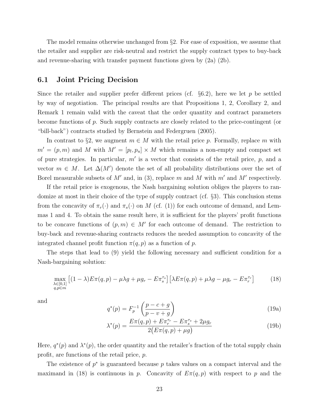The model remains otherwise unchanged from §2. For ease of exposition, we assume that the retailer and supplier are risk-neutral and restrict the supply contract types to buy-back and revenue-sharing with transfer payment functions given by (2a) (2b).

### 6.1 Joint Pricing Decision

Since the retailer and supplier prefer different prices (cf.  $\S6.2$ ), here we let p be settled by way of negotiation. The principal results are that Propositions 1, 2, Corollary 2, and Remark 1 remain valid with the caveat that the order quantity and contract parameters become functions of p. Such supply contracts are closely related to the price-contingent (or "bill-back") contracts studied by Bernstein and Federgruen (2005).

In contrast to §2, we augment  $m \in M$  with the retail price p. Formally, replace m with  $m' = (p, m)$  and M with  $M' = [p_l, p_u] \times M$  which remains a non-empty and compact set of pure strategies. In particular,  $m'$  is a vector that consists of the retail price,  $p$ , and a vector  $m \in M$ . Let  $\Delta(M')$  denote the set of all probability distributions over the set of Borel measurable subsets of  $M'$  and, in (3), replace m and M with m' and M' respectively.

If the retail price is exogenous, the Nash bargaining solution obliges the players to randomize at most in their choice of the type of supply contract (cf. §3). This conclusion stems from the concavity of  $\pi_r(\cdot)$  and  $\pi_s(\cdot)$  on M (cf. (1)) for each outcome of demand, and Lemmas 1 and 4. To obtain the same result here, it is sufficient for the players' profit functions to be concave functions of  $(p, m) \in M'$  for each outcome of demand. The restriction to buy-back and revenue-sharing contracts reduces the needed assumption to concavity of the integrated channel profit function  $\pi(q, p)$  as a function of p.

The steps that lead to (9) yield the following necessary and sufficient condition for a Nash-bargaining solution:

$$
\max_{\substack{\lambda \in [0,1] \\ q,p \in m}} \left[ (1-\lambda) E \pi(q,p) - \mu \lambda g + \mu g_r - E \pi_s^{\tau_s} \right] \left[ \lambda E \pi(q,p) + \mu \lambda g - \mu g_r - E \pi_r^{\tau_r} \right] \tag{18}
$$

and

$$
q^*(p) = F_p^{-1}\left(\frac{p-c+g}{p-v+g}\right)
$$
 (19a)

$$
\lambda^*(p) = \frac{E\pi(q, p) + E\pi_r^{\tau_r} - E\pi_s^{\tau_s} + 2\mu g_r}{2(E\pi(q, p) + \mu g)}
$$
(19b)

Here,  $q^*(p)$  and  $\lambda^*(p)$ , the order quantity and the retailer's fraction of the total supply chain profit, are functions of the retail price, p.

The existence of  $p^*$  is guaranteed because  $p$  takes values on a compact interval and the maximand in (18) is continuous in p. Concavity of  $E\pi(q,p)$  with respect to p and the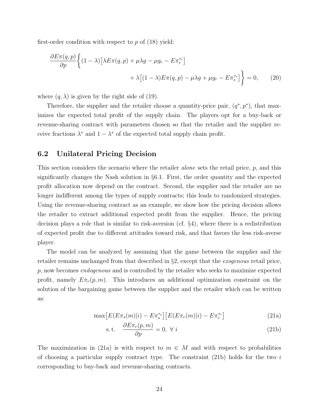first-order condition with respect to  $p$  of  $(18)$  yield:

$$
\frac{\partial E\pi(q,p)}{\partial p} \left\{ (1-\lambda) \left[ \lambda E\pi(q,p) + \mu \lambda g - \mu g_r - E\pi_r^{\tau_r} \right] + \lambda \left[ (1-\lambda) E\pi(q,p) - \mu \lambda g + \mu g_r - E\pi_s^{\tau_s} \right] \right\} = 0, \quad (20)
$$

where  $(q, \lambda)$  is given by the right side of (19).

Therefore, the supplier and the retailer choose a quantity-price pair,  $(q^*, p^*)$ , that maximizes the expected total profit of the supply chain. The players opt for a buy-back or revenue-sharing contract with parameters chosen so that the retailer and the supplier receive fractions  $\lambda^*$  and  $1 - \lambda^*$  of the expected total supply chain profit.

### 6.2 Unilateral Pricing Decision

This section considers the scenario where the retailer *alone* sets the retail price, p, and this significantly changes the Nash solution in §6.1. First, the order quantity and the expected profit allocation now depend on the contract. Second, the supplier and the retailer are no longer indifferent among the types of supply contracts; this leads to randomized strategies. Using the revenue-sharing contract as an example, we show how the pricing decision allows the retailer to extract additional expected profit from the supplier. Hence, the pricing decision plays a role that is similar to risk-aversion (cf. §4), where there is a redistribution of expected profit due to different attitudes toward risk, and that favors the less risk-averse player.

The model can be analyzed by assuming that the game between the supplier and the retailer remains unchanged from that described in §2, except that the exogenous retail price, p, now becomes endogenous and is controlled by the retailer who seeks to maximize expected profit, namely  $E \pi_r(p,m)$ . This introduces an additional optimization constraint on the solution of the bargaining game between the supplier and the retailer which can be written as:

$$
\max\left[E(E\pi_s(m)|i) - E\pi_s^{\tau_s}\right]\left[E(E\pi_r(m)|i) - E\pi_r^{\tau_r}\right] \tag{21a}
$$

$$
\text{s.t.} \quad \frac{\partial E \pi_r(p, m)}{\partial p} = 0, \ \forall \ i \tag{21b}
$$

The maximization in (21a) is with respect to  $m \in M$  and with respect to probabilities of choosing a particular supply contract type. The constraint  $(21b)$  holds for the two i corresponding to buy-back and revenue-sharing contracts.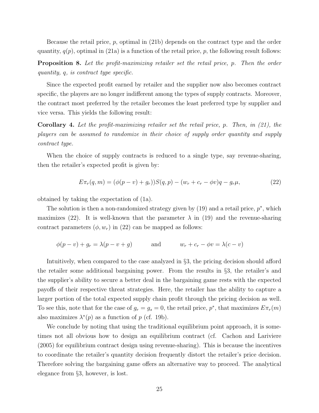Because the retail price,  $p$ , optimal in (21b) depends on the contract type and the order quantity,  $q(p)$ , optimal in (21a) is a function of the retail price, p, the following result follows:

**Proposition 8.** Let the profit-maximizing retailer set the retail price, p. Then the order quantity, q, is contract type specific.

Since the expected profit earned by retailer and the supplier now also becomes contract specific, the players are no longer indifferent among the types of supply contracts. Moreover, the contract most preferred by the retailer becomes the least preferred type by supplier and vice versa. This yields the following result:

Corollary 4. Let the profit-maximizing retailer set the retail price, p. Then, in (21), the players can be assumed to randomize in their choice of supply order quantity and supply contract type.

When the choice of supply contracts is reduced to a single type, say revenue-sharing, then the retailer's expected profit is given by:

$$
E\pi_r(q,m) = (\phi(p-v) + g_r))S(q,p) - (w_r + c_r - \phi v)q - g_r\mu,
$$
\n(22)

obtained by taking the expectation of (1a).

The solution is then a non-randomized strategy given by  $(19)$  and a retail price,  $p^*$ , which maximizes (22). It is well-known that the parameter  $\lambda$  in (19) and the revenue-sharing contract parameters  $(\phi, w_r)$  in (22) can be mapped as follows:

$$
\phi(p - v) + g_r = \lambda(p - v + g) \quad \text{and} \quad w_r + c_r - \phi v = \lambda(c - v)
$$

Intuitively, when compared to the case analyzed in §3, the pricing decision should afford the retailer some additional bargaining power. From the results in §3, the retailer's and the supplier's ability to secure a better deal in the bargaining game rests with the expected payoffs of their respective threat strategies. Here, the retailer has the ability to capture a larger portion of the total expected supply chain profit through the pricing decision as well. To see this, note that for the case of  $g_r = g_s = 0$ , the retail price,  $p^*$ , that maximizes  $E\pi_r(m)$ also maximizes  $\lambda^*(p)$  as a function of p (cf. 19b).

We conclude by noting that using the traditional equilibrium point approach, it is sometimes not all obvious how to design an equilibrium contract (cf. Cachon and Lariviere (2005) for equilibrium contract design using revenue-sharing). This is because the incentives to coordinate the retailer's quantity decision frequently distort the retailer's price decision. Therefore solving the bargaining game offers an alternative way to proceed. The analytical elegance from §3, however, is lost.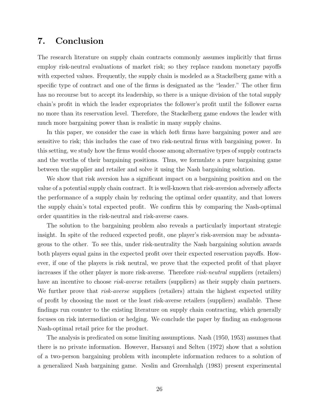# 7. Conclusion

The research literature on supply chain contracts commonly assumes implicitly that firms employ risk-neutral evaluations of market risk; so they replace random monetary payoffs with expected values. Frequently, the supply chain is modeled as a Stackelberg game with a specific type of contract and one of the firms is designated as the "leader." The other firm has no recourse but to accept its leadership, so there is a unique division of the total supply chain's profit in which the leader expropriates the follower's profit until the follower earns no more than its reservation level. Therefore, the Stackelberg game endows the leader with much more bargaining power than is realistic in many supply chains.

In this paper, we consider the case in which *both* firms have bargaining power and are sensitive to risk; this includes the case of two risk-neutral firms with bargaining power. In this setting, we study how the firms would choose among alternative types of supply contracts and the worths of their bargaining positions. Thus, we formulate a pure bargaining game between the supplier and retailer and solve it using the Nash bargaining solution.

We show that risk aversion has a significant impact on a bargaining position and on the value of a potential supply chain contract. It is well-known that risk-aversion adversely affects the performance of a supply chain by reducing the optimal order quantity, and that lowers the supply chain's total expected profit. We confirm this by comparing the Nash-optimal order quantities in the risk-neutral and risk-averse cases.

The solution to the bargaining problem also reveals a particularly important strategic insight. In spite of the reduced expected profit, one player's risk-aversion may be advantageous to the other. To see this, under risk-neutrality the Nash bargaining solution awards both players equal gains in the expected profit over their expected reservation payoffs. However, if one of the players is risk neutral, we prove that the expected profit of that player increases if the other player is more risk-averse. Therefore *risk-neutral* suppliers (retailers) have an incentive to choose *risk-averse* retailers (suppliers) as their supply chain partners. We further prove that *risk-averse* suppliers (retailers) attain the highest expected utility of profit by choosing the most or the least risk-averse retailers (suppliers) available. These findings run counter to the existing literature on supply chain contracting, which generally focuses on risk intermediation or hedging. We conclude the paper by finding an endogenous Nash-optimal retail price for the product.

The analysis is predicated on some limiting assumptions. Nash (1950, 1953) assumes that there is no private information. However, Harsanyi and Selten (1972) show that a solution of a two-person bargaining problem with incomplete information reduces to a solution of a generalized Nash bargaining game. Neslin and Greenhalgh (1983) present experimental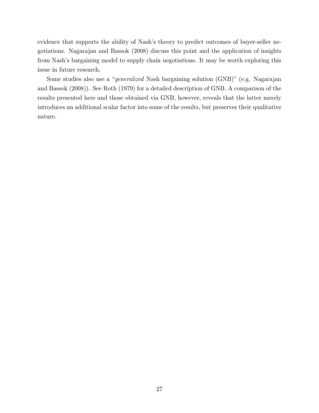evidence that supports the ability of Nash's theory to predict outcomes of buyer-seller negotiations. Nagarajan and Bassok (2008) discuss this point and the application of insights from Nash's bargaining model to supply chain negotiations. It may be worth exploring this issue in future research.

Some studies also use a "generalized Nash bargaining solution (GNB)" (e.g. Nagarajan and Bassok (2008)). See Roth (1979) for a detailed description of GNB. A comparison of the results presented here and those obtained via GNB, however, reveals that the latter merely introduces an additional scalar factor into some of the results, but preserves their qualitative nature.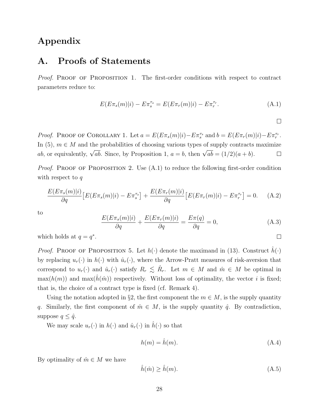# Appendix

# A. Proofs of Statements

Proof. PROOF OF PROPOSITION 1. The first-order conditions with respect to contract parameters reduce to:

$$
E(E\pi_s(m)|i) - E\pi_s^{\tau_s} = E(E\pi_r(m)|i) - E\pi_r^{\tau_r}.
$$
\n(A.1)

 $\Box$ 

 $\Box$ 

*Proof.* PROOF OF COROLLARY 1. Let  $a = E(E\pi_s(m)|i) - E\pi_s^{\tau_s}$  and  $b = E(E\pi_r(m)|i) - E\pi_r^{\tau_r}$ . In (5),  $m \in M$  and the probabilities of choosing various types of supply contracts maximize ab, or equivalently,  $\sqrt{ab}$ . Since, by Proposition 1,  $a = b$ , then  $\sqrt{ab} = (1/2)(a + b)$ .  $\Box$ 

*Proof.* PROOF OF PROPOSITION 2. Use  $(A.1)$  to reduce the following first-order condition with respect to  $q$ 

$$
\frac{E(E\pi_s(m)|i)}{\partial q}\left[E(E\pi_s(m)|i) - E\pi_s^{\tau_s}\right] + \frac{E(E\pi_r(m)|i)}{\partial q}\left[E(E\pi_r(m)|i) - E\pi_r^{\tau_r}\right] = 0. \tag{A.2}
$$

to

$$
\frac{E(E\pi_s(m)|i)}{\partial q} + \frac{E(E\pi_r(m)|i)}{\partial q} = \frac{E\pi(q)}{\partial q} = 0,
$$
\n(A.3)

which holds at  $q = q^*$ .

*Proof.* PROOF OF PROPOSITION 5. Let  $h(\cdot)$  denote the maximand in (13). Construct  $h(\cdot)$ by replacing  $u_r(\cdot)$  in  $h(\cdot)$  with  $\hat{u}_r(\cdot)$ , where the Arrow-Pratt measures of risk-aversion that correspond to  $u_r(\cdot)$  and  $\hat{u}_r(\cdot)$  satisfy  $R_r \leq \hat{R}_r$ . Let  $m \in M$  and  $\hat{m} \in M$  be optimal in  $\max(h(m))$  and  $\max(h(\hat{m}))$  respectively. Without loss of optimality, the vector i is fixed; that is, the choice of a contract type is fixed (cf. Remark 4).

Using the notation adopted in §2, the first component the  $m \in M$ , is the supply quantity q. Similarly, the first component of  $\hat{m} \in M$ , is the supply quantity  $\hat{q}$ . By contradiction, suppose  $q \leq \hat{q}$ .

We may scale  $u_r(\cdot)$  in  $h(\cdot)$  and  $\hat{u}_r(\cdot)$  in  $\hat{h}(\cdot)$  so that

$$
h(m) = \hat{h}(m). \tag{A.4}
$$

By optimality of  $\hat{m} \in M$  we have

$$
\hat{h}(\hat{m}) \ge \hat{h}(m). \tag{A.5}
$$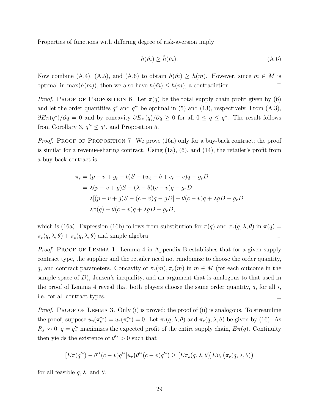Properties of functions with differing degree of risk-aversion imply

$$
h(\hat{m}) \ge \hat{h}(\hat{m}).\tag{A.6}
$$

Now combine (A.4), (A.5), and (A.6) to obtain  $h(\hat{m}) \ge h(m)$ . However, since  $m \in M$  is optimal in max $(h(m))$ , then we also have  $h(\hat{m}) \leq h(m)$ , a contradiction.  $\Box$ 

*Proof.* PROOF OF PROPOSITION 6. Let  $\pi(q)$  be the total supply chain profit given by (6) and let the order quantities  $q^*$  and  $q'^*$  be optimal in (5) and (13), respectively. From (A.3),  $\partial E \pi(q^*)/\partial q = 0$  and by concavity  $\partial E \pi(q)/\partial q \geq 0$  for all  $0 \leq q \leq q^*$ . The result follows from Corollary 3,  $q'^* \leq q^*$ , and Proposition 5.  $\Box$ 

Proof. PROOF OF PROPOSITION 7. We prove (16a) only for a buy-back contract; the proof is similar for a revenue-sharing contract. Using  $(1a)$ ,  $(6)$ , and  $(14)$ , the retailer's profit from a buy-back contract is

$$
\pi_r = (p - v + g_r - b)S - (w_b - b + c_r - v)q - g_r D
$$
  
\n
$$
= \lambda(p - v + g)S - (\lambda - \theta)(c - v)q - g_r D
$$
  
\n
$$
= \lambda[(p - v + g)S - (c - v)q - gD] + \theta(c - v)q + \lambda gD - g_r D
$$
  
\n
$$
= \lambda \pi(q) + \theta(c - v)q + \lambda gD - g_r D,
$$

which is (16a). Expression (16b) follows from substitution for  $\pi(q)$  and  $\pi_r(q, \lambda, \theta)$  in  $\pi(q)$  =  $\pi_r(q, \lambda, \theta) + \pi_s(q, \lambda, \theta)$  and simple algebra.  $\Box$ 

Proof. PROOF OF LEMMA 1. Lemma 4 in Appendix B establishes that for a given supply contract type, the supplier and the retailer need not randomize to choose the order quantity, q, and contract parameters. Concavity of  $\pi_s(m), \pi_r(m)$  in  $m \in M$  (for each outcome in the sample space of  $D$ ), Jensen's inequality, and an argument that is analogous to that used in the proof of Lemma 4 reveal that both players choose the same order quantity,  $q$ , for all  $i$ ,  $\Box$ i.e. for all contract types.

Proof. PROOF OF LEMMA 3. Only (i) is proved; the proof of (ii) is analogous. To streamline the proof, suppose  $u_s(\pi_s^{\tau_s}) = u_r(\pi_r^{\tau_r}) = 0$ . Let  $\pi_s(q, \lambda, \theta)$  and  $\pi_r(q, \lambda, \theta)$  be given by (16). As  $R_s \rightarrow 0, q = q_s^*$  maximizes the expected profit of the entire supply chain,  $E\pi(q)$ . Continuity then yields the existence of  $\theta^{\prime*} > 0$  such that

$$
[E\pi(q'^*) - \theta'^*(c-v)q'^*]u_r(\theta'^*(c-v)q'^*) \geq [E\pi_s(q,\lambda,\theta)]Eu_r(\pi_r(q,\lambda,\theta))
$$

for all feasible  $q, \lambda$ , and  $\theta$ .

 $\Box$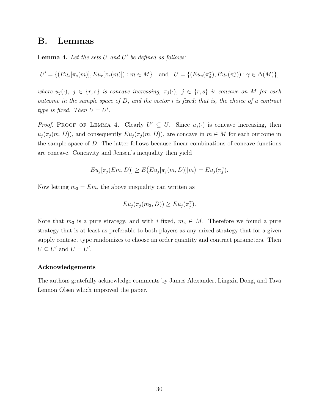# B. Lemmas

**Lemma 4.** Let the sets  $U$  and  $U'$  be defined as follows:

$$
U' = \{ (Eu_s[\pi_s(m)], Eu_r[\pi_r(m)]) : m \in M \} \text{ and } U = \{ (Eu_s(\pi_s^{\gamma}), Eu_r(\pi_r^{\gamma})) : \gamma \in \Delta(M) \},
$$

where  $u_j(\cdot), j \in \{r, s\}$  is concave increasing,  $\pi_j(\cdot), j \in \{r, s\}$  is concave on M for each outcome in the sample space of  $D$ , and the vector i is fixed; that is, the choice of a contract type is fixed. Then  $U = U'$ .

*Proof.* PROOF OF LEMMA 4. Clearly  $U' \subseteq U$ . Since  $u_j(\cdot)$  is concave increasing, then  $u_j(\pi_j(m, D))$ , and consequently  $Eu_j(\pi_j(m, D))$ , are concave in  $m \in M$  for each outcome in the sample space of D. The latter follows because linear combinations of concave functions are concave. Concavity and Jensen's inequality then yield

$$
Eu_j[\pi_j(Em, D)] \ge E\big( Eu_j[\pi_j(m, D)] | m\big) = Eu_j(\pi_j^{\gamma}).
$$

Now letting  $m_3 = Em$ , the above inequality can written as

$$
Eu_j(\pi_j(m_3, D)) \ge Eu_j(\pi_j^{\gamma}).
$$

Note that  $m_3$  is a pure strategy, and with i fixed,  $m_3 \in M$ . Therefore we found a pure strategy that is at least as preferable to both players as any mixed strategy that for a given supply contract type randomizes to choose an order quantity and contract parameters. Then  $U \subseteq U'$  and  $U = U'.$  $\Box$ 

#### Acknowledgements

The authors gratefully acknowledge comments by James Alexander, Lingxiu Dong, and Tava Lennon Olsen which improved the paper.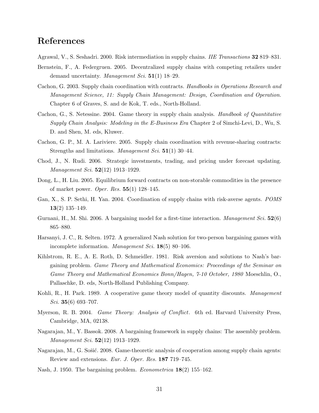# References

- Agrawal, V., S. Seshadri. 2000. Risk intermediation in supply chains. IIE Transactions 32 819–831.
- Bernstein, F., A. Federgruen. 2005. Decentralized supply chains with competing retailers under demand uncertainty. *Management Sci.*  $51(1)$  18–29.
- Cachon, G. 2003. Supply chain coordination with contracts. Handbooks in Operations Research and Management Science, 11: Supply Chain Management: Design, Coordination and Operation. Chapter 6 of Graves, S. and de Kok, T. eds., North-Holland.
- Cachon, G., S. Netessine. 2004. Game theory in supply chain analysis. Handbook of Quantitative Supply Chain Analysis: Modeling in the E-Business Era Chapter 2 of Simchi-Levi, D., Wu, S. D. and Shen, M. eds, Kluwer.
- Cachon, G. P., M. A. Lariviere. 2005. Supply chain coordination with revenue-sharing contracts: Strengths and limitations. *Management Sci.* 51(1) 30–44.
- Chod, J., N. Rudi. 2006. Strategic investments, trading, and pricing under forecast updating. Management Sci. **52**(12) 1913–1929.
- Dong, L., H. Liu. 2005. Equilibrium forward contracts on non-storable commodities in the presence of market power. Oper. Res.  $55(1)$  128-145.
- Gan, X., S. P. Sethi, H. Yan. 2004. Coordination of supply chains with risk-averse agents. POMS 13(2) 135–149.
- Gurnani, H., M. Shi. 2006. A bargaining model for a first-time interaction. *Management Sci.*  $52(6)$ 865–880.
- Harsanyi, J. C., R. Selten. 1972. A generalized Nash solution for two-person bargaining games with incomplete information. Management Sci. 18(5) 80-106.
- Kihlstrom, R. E., A. E. Roth, D. Schmeidler. 1981. Risk aversion and solutions to Nash's bargaining problem. Game Theory and Mathematical Economics: Proceedings of the Seminar on Game Theory and Mathematical Economics Bonn/Hagen, 7-10 October, 1980 Moeschlin, O., Pallaschke, D. eds, North-Holland Publishing Company.
- Kohli, R., H. Park. 1989. A cooperative game theory model of quantity discounts. Management Sci. 35(6) 693–707.
- Myerson, R. B. 2004. Game Theory: Analysis of Conflict. 6th ed. Harvard University Press, Cambridge, MA, 02138.
- Nagarajan, M., Y. Bassok. 2008. A bargaining framework in supply chains: The assembly problem. Management Sci. **52**(12) 1913–1929.
- Nagarajan, M., G. Sošić. 2008. Game-theoretic analysis of cooperation among supply chain agents: Review and extensions. Eur. J. Oper. Res. 187 719–745.
- Nash, J. 1950. The bargaining problem. Econometrica 18(2) 155–162.